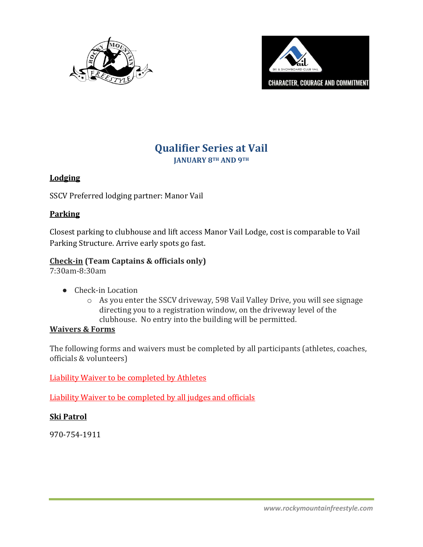



# **Qualifier Series at Vail**

**JANUARY 8TH AND 9TH**

## **Lodging**

SSCV Preferred lodging partner: Manor Vail

## **Parking**

Closest parking to clubhouse and lift access Manor Vail Lodge, cost is comparable to Vail Parking Structure. Arrive early spots go fast.

# **Check-in (Team Captains & officials only)**

7:30am-8:30am

- Check-in Location
	- o As you enter the SSCV driveway, 598 Vail Valley Drive, you will see signage directing you to a registration window, on the driveway level of the clubhouse. No entry into the building will be permitted.

### **Waivers & Forms**

The following forms and waivers must be completed by all participants (athletes, coaches, officials & volunteers)

[Liability Waiver to be completed by Athletes](https://waiver.smartwaiver.com/w/583c5a938298d/web/)

[Liability Waiver to be completed by all judges and officials](https://waiver.smartwaiver.com/w/5df675297bb88/web/)

# **Ski Patrol**

970-754-1911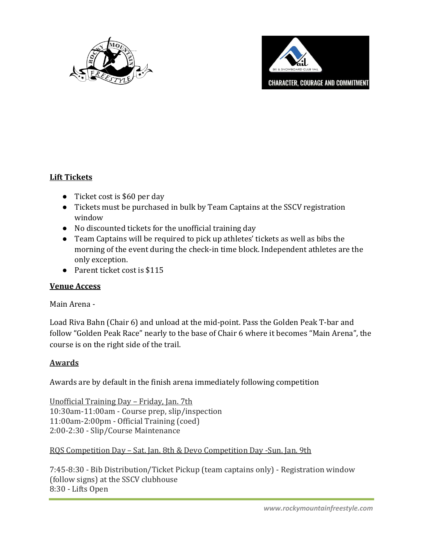



### **Lift Tickets**

- Ticket cost is \$60 per day
- Tickets must be purchased in bulk by Team Captains at the SSCV registration window
- No discounted tickets for the unofficial training day
- Team Captains will be required to pick up athletes' tickets as well as bibs the morning of the event during the check-in time block. Independent athletes are the only exception.
- Parent ticket cost is \$115

#### **Venue Access**

#### Main Arena *-*

Load Riva Bahn (Chair 6) and unload at the mid-point. Pass the Golden Peak T-bar and follow "Golden Peak Race" nearly to the base of Chair 6 where it becomes "Main Arena", the course is on the right side of the trail.

#### **Awards**

Awards are by default in the finish arena immediately following competition

Unofficial Training Day – Friday, Jan. 7th 10:30am-11:00am - Course prep, slip/inspection 11:00am-2:00pm - Official Training (coed) 2:00-2:30 - Slip/Course Maintenance

RQS Competition Day – Sat. Jan. 8th & Devo Competition Day -Sun. Jan. 9th

7:45-8:30 - Bib Distribution/Ticket Pickup (team captains only) - Registration window (follow signs) at the SSCV clubhouse 8:30 - Lifts Open